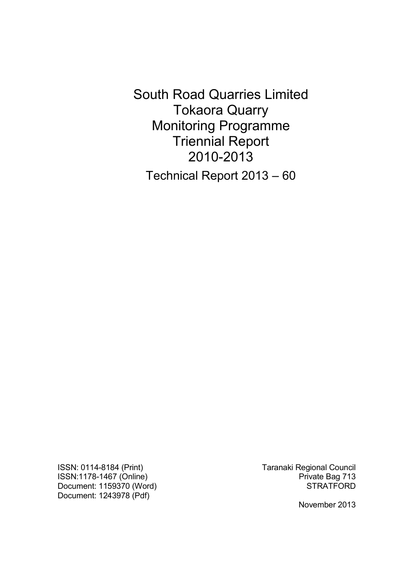South Road Quarries Limited Tokaora Quarry Monitoring Programme Triennial Report 2010-2013 Technical Report 2013 – 60

ISSN: 0114-8184 (Print) Taranaki Regional Council ISSN:1178-1467 (Online) **Private Bag 713** Document: 1159370 (Word) STRATFORD Document: 1243978 (Pdf)

November 2013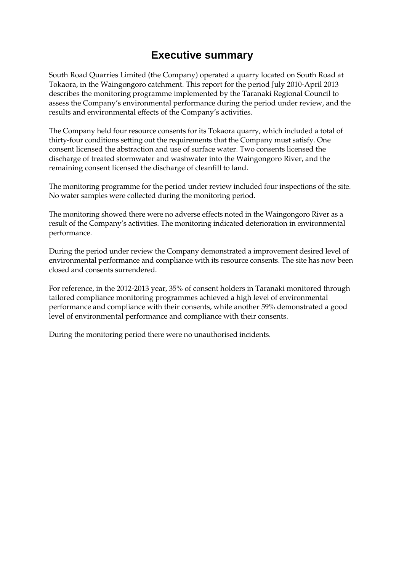# **Executive summary**

South Road Quarries Limited (the Company) operated a quarry located on South Road at Tokaora, in the Waingongoro catchment. This report for the period July 2010-April 2013 describes the monitoring programme implemented by the Taranaki Regional Council to assess the Company's environmental performance during the period under review, and the results and environmental effects of the Company's activities.

The Company held four resource consents for its Tokaora quarry, which included a total of thirty-four conditions setting out the requirements that the Company must satisfy. One consent licensed the abstraction and use of surface water. Two consents licensed the discharge of treated stormwater and washwater into the Waingongoro River, and the remaining consent licensed the discharge of cleanfill to land.

The monitoring programme for the period under review included four inspections of the site. No water samples were collected during the monitoring period.

The monitoring showed there were no adverse effects noted in the Waingongoro River as a result of the Company's activities. The monitoring indicated deterioration in environmental performance.

During the period under review the Company demonstrated a improvement desired level of environmental performance and compliance with its resource consents. The site has now been closed and consents surrendered.

For reference, in the 2012-2013 year, 35% of consent holders in Taranaki monitored through tailored compliance monitoring programmes achieved a high level of environmental performance and compliance with their consents, while another 59% demonstrated a good level of environmental performance and compliance with their consents.

During the monitoring period there were no unauthorised incidents.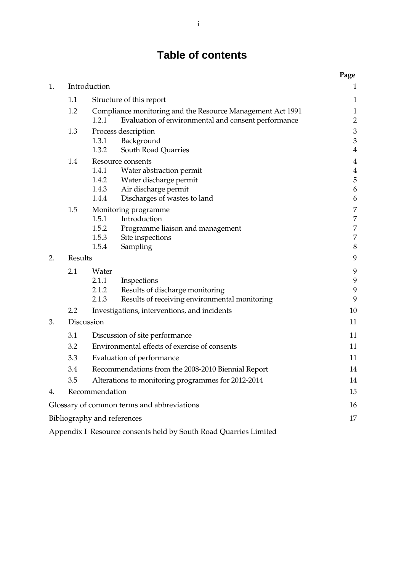# **Table of contents**

|    |                                 |                                                                                                                            | Page                                          |
|----|---------------------------------|----------------------------------------------------------------------------------------------------------------------------|-----------------------------------------------|
| 1. |                                 | Introduction                                                                                                               | 1                                             |
|    | 1.1<br>Structure of this report |                                                                                                                            | 1                                             |
|    | 1.2                             | Compliance monitoring and the Resource Management Act 1991<br>1.2.1<br>Evaluation of environmental and consent performance | $\mathbf{1}$<br>$\overline{c}$                |
|    | 1.3                             | Process description                                                                                                        | $\mathfrak{Z}$                                |
|    |                                 | Background<br>1.3.1<br>1.3.2<br>South Road Quarries                                                                        | $\ensuremath{\mathfrak{Z}}$<br>$\overline{4}$ |
|    | 1.4                             | Resource consents                                                                                                          | $\overline{4}$                                |
|    |                                 | 1.4.1<br>Water abstraction permit                                                                                          | $\overline{4}$                                |
|    |                                 | 1.4.2 Water discharge permit                                                                                               | 5                                             |
|    |                                 | 1.4.3<br>Air discharge permit<br>1.4.4<br>Discharges of wastes to land                                                     | $\boldsymbol{6}$<br>6                         |
|    | 1.5                             | Monitoring programme                                                                                                       | 7                                             |
|    |                                 | 1.5.1<br>Introduction                                                                                                      | 7                                             |
|    |                                 | 1.5.2<br>Programme liaison and management                                                                                  | 7                                             |
|    |                                 | 1.5.3<br>Site inspections                                                                                                  | 7                                             |
|    |                                 | 1.5.4<br>Sampling                                                                                                          | $\boldsymbol{8}$                              |
| 2. | Results                         |                                                                                                                            | $\mathbf{9}$                                  |
|    | 2.1                             | Water                                                                                                                      | 9                                             |
|    |                                 | 2.1.1<br>Inspections                                                                                                       | $\boldsymbol{9}$                              |
|    |                                 | 2.1.2<br>Results of discharge monitoring                                                                                   | $\mathbf{9}$                                  |
|    |                                 | 2.1.3<br>Results of receiving environmental monitoring                                                                     | 9                                             |
|    | 2.2                             | Investigations, interventions, and incidents                                                                               | 10                                            |
| 3. |                                 | Discussion                                                                                                                 | 11                                            |
|    | 3.1                             | Discussion of site performance                                                                                             | 11                                            |
|    | 3.2                             | Environmental effects of exercise of consents                                                                              |                                               |
|    | 3.3                             | Evaluation of performance                                                                                                  |                                               |
|    | 3.4                             | Recommendations from the 2008-2010 Biennial Report                                                                         |                                               |
|    | 3.5                             | Alterations to monitoring programmes for 2012-2014                                                                         | 14                                            |
| 4. |                                 | Recommendation                                                                                                             | 15                                            |
|    |                                 | Glossary of common terms and abbreviations                                                                                 | 16                                            |
|    |                                 | Bibliography and references                                                                                                | 17                                            |
|    |                                 |                                                                                                                            |                                               |

Appendix I Resource consents held by South Road Quarries Limited 19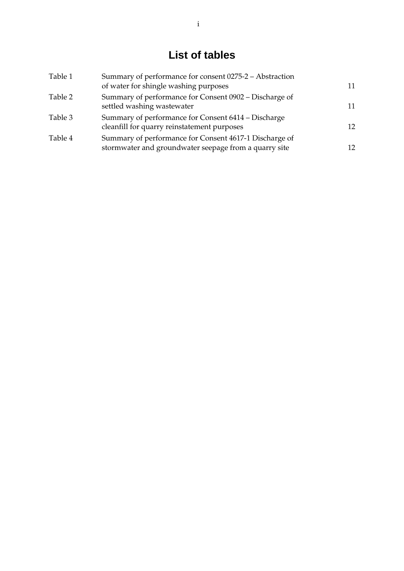# **List of tables**

| Table 1 | Summary of performance for consent 0275-2 - Abstraction<br>of water for shingle washing purposes                | 11 |
|---------|-----------------------------------------------------------------------------------------------------------------|----|
| Table 2 | Summary of performance for Consent 0902 – Discharge of<br>settled washing wastewater                            | 11 |
| Table 3 | Summary of performance for Consent 6414 – Discharge<br>cleanfill for quarry reinstatement purposes              | 12 |
| Table 4 | Summary of performance for Consent 4617-1 Discharge of<br>stormwater and groundwater seepage from a quarry site | 12 |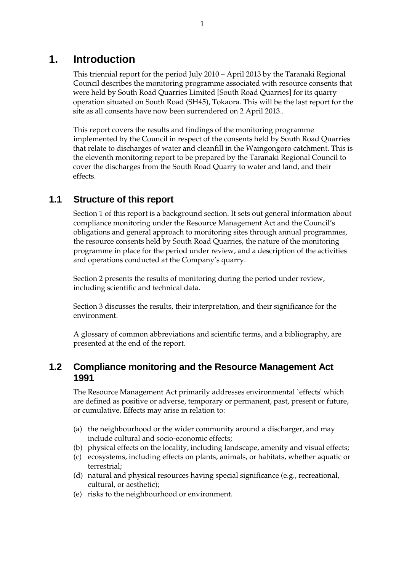# **1. Introduction**

 This triennial report for the period July 2010 – April 2013 by the Taranaki Regional Council describes the monitoring programme associated with resource consents that were held by South Road Quarries Limited [South Road Quarries] for its quarry operation situated on South Road (SH45), Tokaora. This will be the last report for the site as all consents have now been surrendered on 2 April 2013..

 This report covers the results and findings of the monitoring programme implemented by the Council in respect of the consents held by South Road Quarries that relate to discharges of water and cleanfill in the Waingongoro catchment. This is the eleventh monitoring report to be prepared by the Taranaki Regional Council to cover the discharges from the South Road Quarry to water and land, and their effects.

# **1.1 Structure of this report**

Section 1 of this report is a background section. It sets out general information about compliance monitoring under the Resource Management Act and the Council's obligations and general approach to monitoring sites through annual programmes, the resource consents held by South Road Quarries, the nature of the monitoring programme in place for the period under review, and a description of the activities and operations conducted at the Company's quarry.

Section 2 presents the results of monitoring during the period under review, including scientific and technical data.

Section 3 discusses the results, their interpretation, and their significance for the environment.

A glossary of common abbreviations and scientific terms, and a bibliography, are presented at the end of the report.

# **1.2 Compliance monitoring and the Resource Management Act 1991**

The Resource Management Act primarily addresses environmental `effects' which are defined as positive or adverse, temporary or permanent, past, present or future, or cumulative. Effects may arise in relation to:

- (a) the neighbourhood or the wider community around a discharger, and may include cultural and socio-economic effects;
- (b) physical effects on the locality, including landscape, amenity and visual effects;
- (c) ecosystems, including effects on plants, animals, or habitats, whether aquatic or terrestrial;
- (d) natural and physical resources having special significance (e.g., recreational, cultural, or aesthetic);
- (e) risks to the neighbourhood or environment.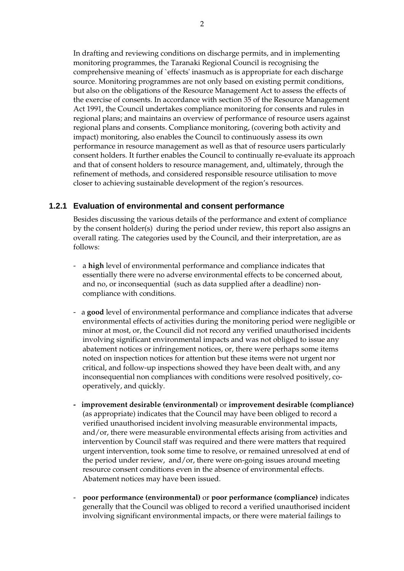In drafting and reviewing conditions on discharge permits, and in implementing monitoring programmes, the Taranaki Regional Council is recognising the comprehensive meaning of `effects' inasmuch as is appropriate for each discharge source. Monitoring programmes are not only based on existing permit conditions, but also on the obligations of the Resource Management Act to assess the effects of the exercise of consents. In accordance with section 35 of the Resource Management Act 1991, the Council undertakes compliance monitoring for consents and rules in regional plans; and maintains an overview of performance of resource users against regional plans and consents. Compliance monitoring, (covering both activity and impact) monitoring, also enables the Council to continuously assess its own performance in resource management as well as that of resource users particularly consent holders. It further enables the Council to continually re-evaluate its approach and that of consent holders to resource management, and, ultimately, through the refinement of methods, and considered responsible resource utilisation to move closer to achieving sustainable development of the region's resources.

### **1.2.1 Evaluation of environmental and consent performance**

Besides discussing the various details of the performance and extent of compliance by the consent holder(s) during the period under review, this report also assigns an overall rating. The categories used by the Council, and their interpretation, are as follows:

- a **high** level of environmental performance and compliance indicates that essentially there were no adverse environmental effects to be concerned about, and no, or inconsequential (such as data supplied after a deadline) noncompliance with conditions.
- a **good** level of environmental performance and compliance indicates that adverse environmental effects of activities during the monitoring period were negligible or minor at most, or, the Council did not record any verified unauthorised incidents involving significant environmental impacts and was not obliged to issue any abatement notices or infringement notices, or, there were perhaps some items noted on inspection notices for attention but these items were not urgent nor critical, and follow-up inspections showed they have been dealt with, and any inconsequential non compliances with conditions were resolved positively, cooperatively, and quickly.
- **improvement desirable (environmental)** or **improvement desirable (compliance)** (as appropriate) indicates that the Council may have been obliged to record a verified unauthorised incident involving measurable environmental impacts, and/or, there were measurable environmental effects arising from activities and intervention by Council staff was required and there were matters that required urgent intervention, took some time to resolve, or remained unresolved at end of the period under review, and/or, there were on-going issues around meeting resource consent conditions even in the absence of environmental effects. Abatement notices may have been issued.
- **poor performance (environmental)** or **poor performance (compliance)** indicates generally that the Council was obliged to record a verified unauthorised incident involving significant environmental impacts, or there were material failings to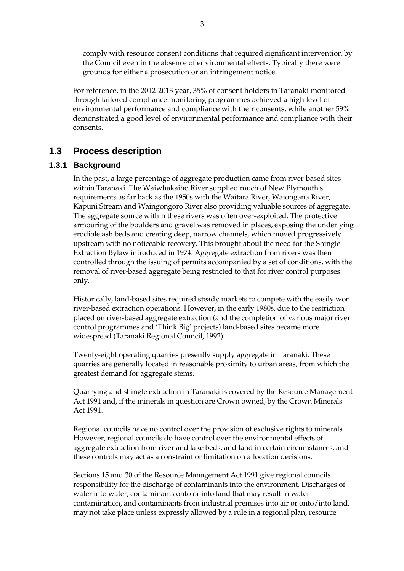comply with resource consent conditions that required significant intervention by the Council even in the absence of environmental effects. Typically there were grounds for either a prosecution or an infringement notice.

For reference, in the 2012-2013 year, 35% of consent holders in Taranaki monitored through tailored compliance monitoring programmes achieved a high level of environmental performance and compliance with their consents, while another 59% demonstrated a good level of environmental performance and compliance with their consents.

# **1.3 Process description**

### **1.3.1 Background**

In the past, a large percentage of aggregate production came from river-based sites within Taranaki. The Waiwhakaiho River supplied much of New Plymouth's requirements as far back as the 1950s with the Waitara River, Waiongana River, Kapuni Stream and Waingongoro River also providing valuable sources of aggregate. The aggregate source within these rivers was often over-exploited. The protective armouring of the boulders and gravel was removed in places, exposing the underlying erodible ash beds and creating deep, narrow channels, which moved progressively upstream with no noticeable recovery. This brought about the need for the Shingle Extraction Bylaw introduced in 1974. Aggregate extraction from rivers was then controlled through the issuing of permits accompanied by a set of conditions, with the removal of river-based aggregate being restricted to that for river control purposes only.

 Historically, land-based sites required steady markets to compete with the easily won river-based extraction operations. However, in the early 1980s, due to the restriction placed on river-based aggregate extraction (and the completion of various major river control programmes and 'Think Big' projects) land-based sites became more widespread (Taranaki Regional Council, 1992).

 Twenty-eight operating quarries presently supply aggregate in Taranaki. These quarries are generally located in reasonable proximity to urban areas, from which the greatest demand for aggregate stems.

 Quarrying and shingle extraction in Taranaki is covered by the Resource Management Act 1991 and, if the minerals in question are Crown owned, by the Crown Minerals Act 1991.

 Regional councils have no control over the provision of exclusive rights to minerals. However, regional councils do have control over the environmental effects of aggregate extraction from river and lake beds, and land in certain circumstances, and these controls may act as a constraint or limitation on allocation decisions.

 Sections 15 and 30 of the Resource Management Act 1991 give regional councils responsibility for the discharge of contaminants into the environment. Discharges of water into water, contaminants onto or into land that may result in water contamination, and contaminants from industrial premises into air or onto/into land, may not take place unless expressly allowed by a rule in a regional plan, resource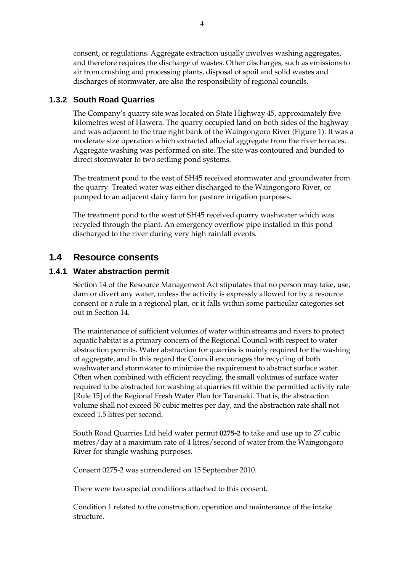consent, or regulations. Aggregate extraction usually involves washing aggregates, and therefore requires the discharge of wastes. Other discharges, such as emissions to air from crushing and processing plants, disposal of spoil and solid wastes and discharges of stormwater, are also the responsibility of regional councils.

## **1.3.2 South Road Quarries**

The Company's quarry site was located on State Highway 45, approximately five kilometres west of Hawera. The quarry occupied land on both sides of the highway and was adjacent to the true right bank of the Waingongoro River (Figure 1). It was a moderate size operation which extracted alluvial aggregate from the river terraces. Aggregate washing was performed on site. The site was contoured and bunded to direct stormwater to two settling pond systems.

The treatment pond to the east of SH45 received stormwater and groundwater from the quarry. Treated water was either discharged to the Waingongoro River, or pumped to an adjacent dairy farm for pasture irrigation purposes.

The treatment pond to the west of SH45 received quarry washwater which was recycled through the plant. An emergency overflow pipe installed in this pond discharged to the river during very high rainfall events.

# **1.4 Resource consents**

### **1.4.1 Water abstraction permit**

Section 14 of the Resource Management Act stipulates that no person may take, use, dam or divert any water, unless the activity is expressly allowed for by a resource consent or a rule in a regional plan, or it falls within some particular categories set out in Section 14.

The maintenance of sufficient volumes of water within streams and rivers to protect aquatic habitat is a primary concern of the Regional Council with respect to water abstraction permits. Water abstraction for quarries is mainly required for the washing of aggregate, and in this regard the Council encourages the recycling of both washwater and stormwater to minimise the requirement to abstract surface water. Often when combined with efficient recycling, the small volumes of surface water required to be abstracted for washing at quarries fit within the permitted activity rule [Rule 15] of the Regional Fresh Water Plan for Taranaki. That is, the abstraction volume shall not exceed 50 cubic metres per day, and the abstraction rate shall not exceed 1.5 litres per second.

South Road Quarries Ltd held water permit **0275-2** to take and use up to 27 cubic metres/day at a maximum rate of 4 litres/second of water from the Waingongoro River for shingle washing purposes.

Consent 0275-2 was surrendered on 15 September 2010.

There were two special conditions attached to this consent.

Condition 1 related to the construction, operation and maintenance of the intake structure.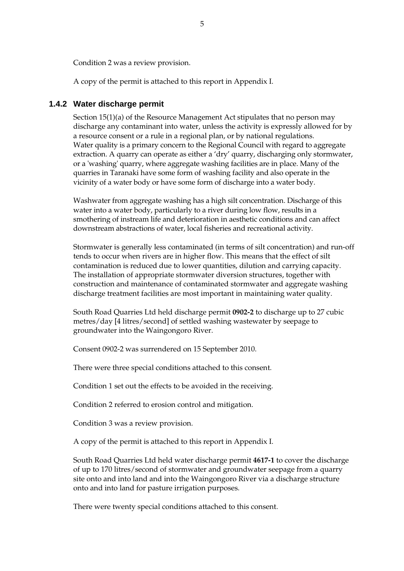Condition 2 was a review provision.

A copy of the permit is attached to this report in Appendix I.

### **1.4.2 Water discharge permit**

Section 15(1)(a) of the Resource Management Act stipulates that no person may discharge any contaminant into water, unless the activity is expressly allowed for by a resource consent or a rule in a regional plan, or by national regulations. Water quality is a primary concern to the Regional Council with regard to aggregate extraction. A quarry can operate as either a 'dry' quarry, discharging only stormwater, or a 'washing' quarry, where aggregate washing facilities are in place. Many of the quarries in Taranaki have some form of washing facility and also operate in the vicinity of a water body or have some form of discharge into a water body.

Washwater from aggregate washing has a high silt concentration. Discharge of this water into a water body, particularly to a river during low flow, results in a smothering of instream life and deterioration in aesthetic conditions and can affect downstream abstractions of water, local fisheries and recreational activity.

Stormwater is generally less contaminated (in terms of silt concentration) and run-off tends to occur when rivers are in higher flow. This means that the effect of silt contamination is reduced due to lower quantities, dilution and carrying capacity. The installation of appropriate stormwater diversion structures, together with construction and maintenance of contaminated stormwater and aggregate washing discharge treatment facilities are most important in maintaining water quality.

South Road Quarries Ltd held discharge permit **0902-2** to discharge up to 27 cubic metres/day [4 litres/second] of settled washing wastewater by seepage to groundwater into the Waingongoro River.

Consent 0902-2 was surrendered on 15 September 2010.

There were three special conditions attached to this consent.

Condition 1 set out the effects to be avoided in the receiving.

Condition 2 referred to erosion control and mitigation.

Condition 3 was a review provision.

A copy of the permit is attached to this report in Appendix I.

South Road Quarries Ltd held water discharge permit **4617-1** to cover the discharge of up to 170 litres/second of stormwater and groundwater seepage from a quarry site onto and into land and into the Waingongoro River via a discharge structure onto and into land for pasture irrigation purposes.

There were twenty special conditions attached to this consent.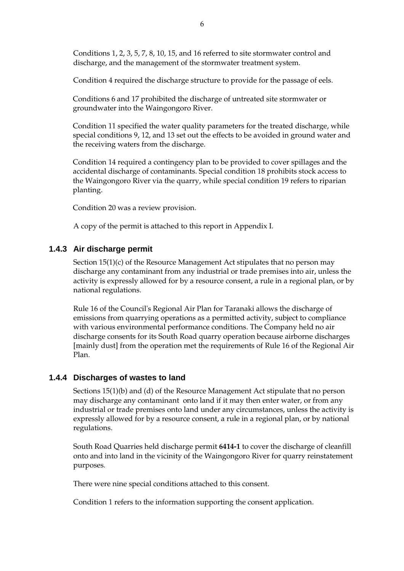Conditions 1, 2, 3, 5, 7, 8, 10, 15, and 16 referred to site stormwater control and discharge, and the management of the stormwater treatment system.

Condition 4 required the discharge structure to provide for the passage of eels.

Conditions 6 and 17 prohibited the discharge of untreated site stormwater or groundwater into the Waingongoro River.

Condition 11 specified the water quality parameters for the treated discharge, while special conditions 9, 12, and 13 set out the effects to be avoided in ground water and the receiving waters from the discharge.

Condition 14 required a contingency plan to be provided to cover spillages and the accidental discharge of contaminants. Special condition 18 prohibits stock access to the Waingongoro River via the quarry, while special condition 19 refers to riparian planting.

Condition 20 was a review provision.

A copy of the permit is attached to this report in Appendix I.

### **1.4.3 Air discharge permit**

Section 15(1)(c) of the Resource Management Act stipulates that no person may discharge any contaminant from any industrial or trade premises into air, unless the activity is expressly allowed for by a resource consent, a rule in a regional plan, or by national regulations.

Rule 16 of the Council's Regional Air Plan for Taranaki allows the discharge of emissions from quarrying operations as a permitted activity, subject to compliance with various environmental performance conditions. The Company held no air discharge consents for its South Road quarry operation because airborne discharges [mainly dust] from the operation met the requirements of Rule 16 of the Regional Air Plan.

### **1.4.4 Discharges of wastes to land**

Sections 15(1)(b) and (d) of the Resource Management Act stipulate that no person may discharge any contaminant onto land if it may then enter water, or from any industrial or trade premises onto land under any circumstances, unless the activity is expressly allowed for by a resource consent, a rule in a regional plan, or by national regulations.

South Road Quarries held discharge permit **6414-1** to cover the discharge of cleanfill onto and into land in the vicinity of the Waingongoro River for quarry reinstatement purposes*.*

There were nine special conditions attached to this consent.

Condition 1 refers to the information supporting the consent application.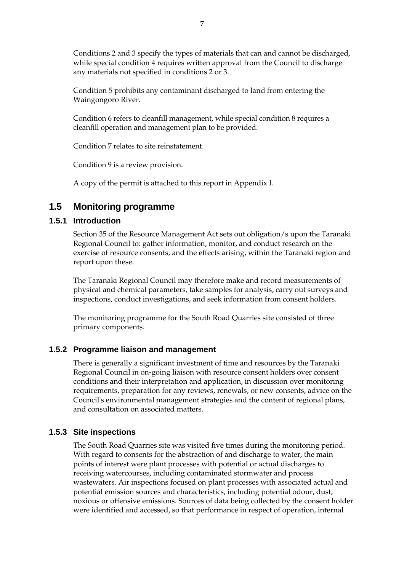Conditions 2 and 3 specify the types of materials that can and cannot be discharged, while special condition 4 requires written approval from the Council to discharge any materials not specified in conditions 2 or 3.

Condition 5 prohibits any contaminant discharged to land from entering the Waingongoro River.

Condition 6 refers to cleanfill management, while special condition 8 requires a cleanfill operation and management plan to be provided.

Condition 7 relates to site reinstatement.

Condition 9 is a review provision.

A copy of the permit is attached to this report in Appendix I.

# **1.5 Monitoring programme**

### **1.5.1 Introduction**

Section 35 of the Resource Management Act sets out obligation/s upon the Taranaki Regional Council to: gather information, monitor, and conduct research on the exercise of resource consents, and the effects arising, within the Taranaki region and report upon these.

The Taranaki Regional Council may therefore make and record measurements of physical and chemical parameters, take samples for analysis, carry out surveys and inspections, conduct investigations, and seek information from consent holders.

The monitoring programme for the South Road Quarries site consisted of three primary components.

### **1.5.2 Programme liaison and management**

There is generally a significant investment of time and resources by the Taranaki Regional Council in on-going liaison with resource consent holders over consent conditions and their interpretation and application, in discussion over monitoring requirements, preparation for any reviews, renewals, or new consents, advice on the Council's environmental management strategies and the content of regional plans, and consultation on associated matters.

### **1.5.3 Site inspections**

The South Road Quarries site was visited five times during the monitoring period. With regard to consents for the abstraction of and discharge to water, the main points of interest were plant processes with potential or actual discharges to receiving watercourses, including contaminated stormwater and process wastewaters. Air inspections focused on plant processes with associated actual and potential emission sources and characteristics, including potential odour, dust, noxious or offensive emissions. Sources of data being collected by the consent holder were identified and accessed, so that performance in respect of operation, internal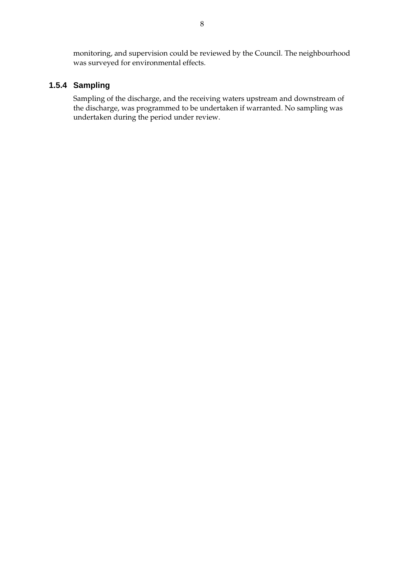monitoring, and supervision could be reviewed by the Council. The neighbourhood was surveyed for environmental effects.

### **1.5.4 Sampling**

Sampling of the discharge, and the receiving waters upstream and downstream of the discharge, was programmed to be undertaken if warranted. No sampling was undertaken during the period under review.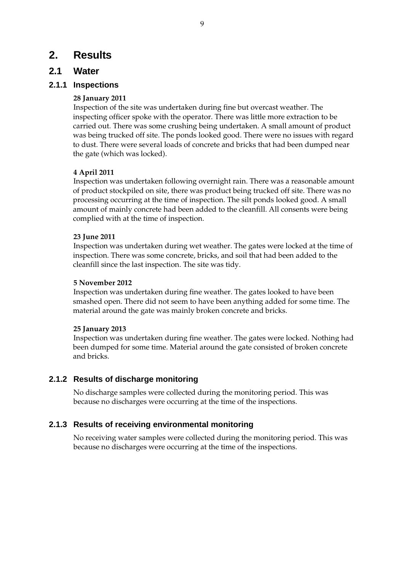# **2. Results**

## **2.1 Water**

### **2.1.1 Inspections**

### **28 January 2011**

Inspection of the site was undertaken during fine but overcast weather. The inspecting officer spoke with the operator. There was little more extraction to be carried out. There was some crushing being undertaken. A small amount of product was being trucked off site. The ponds looked good. There were no issues with regard to dust. There were several loads of concrete and bricks that had been dumped near the gate (which was locked).

### **4 April 2011**

Inspection was undertaken following overnight rain. There was a reasonable amount of product stockpiled on site, there was product being trucked off site. There was no processing occurring at the time of inspection. The silt ponds looked good. A small amount of mainly concrete had been added to the cleanfill. All consents were being complied with at the time of inspection.

### **23 June 2011**

Inspection was undertaken during wet weather. The gates were locked at the time of inspection. There was some concrete, bricks, and soil that had been added to the cleanfill since the last inspection. The site was tidy.

### **5 November 2012**

Inspection was undertaken during fine weather. The gates looked to have been smashed open. There did not seem to have been anything added for some time. The material around the gate was mainly broken concrete and bricks.

### **25 January 2013**

Inspection was undertaken during fine weather. The gates were locked. Nothing had been dumped for some time. Material around the gate consisted of broken concrete and bricks.

### **2.1.2 Results of discharge monitoring**

No discharge samples were collected during the monitoring period. This was because no discharges were occurring at the time of the inspections.

### **2.1.3 Results of receiving environmental monitoring**

No receiving water samples were collected during the monitoring period. This was because no discharges were occurring at the time of the inspections.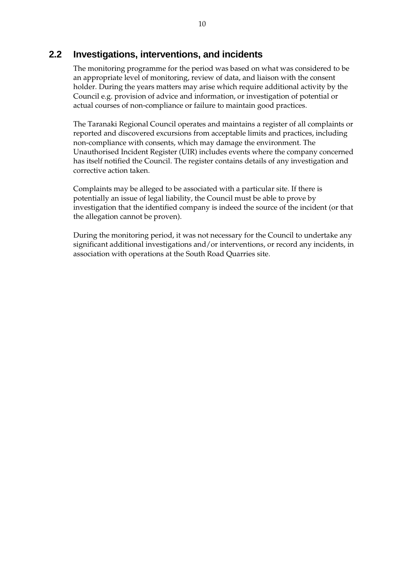# **2.2 Investigations, interventions, and incidents**

The monitoring programme for the period was based on what was considered to be an appropriate level of monitoring, review of data, and liaison with the consent holder. During the years matters may arise which require additional activity by the Council e.g. provision of advice and information, or investigation of potential or actual courses of non-compliance or failure to maintain good practices.

The Taranaki Regional Council operates and maintains a register of all complaints or reported and discovered excursions from acceptable limits and practices, including non-compliance with consents, which may damage the environment. The Unauthorised Incident Register (UIR) includes events where the company concerned has itself notified the Council. The register contains details of any investigation and corrective action taken.

Complaints may be alleged to be associated with a particular site. If there is potentially an issue of legal liability, the Council must be able to prove by investigation that the identified company is indeed the source of the incident (or that the allegation cannot be proven).

During the monitoring period, it was not necessary for the Council to undertake any significant additional investigations and/or interventions, or record any incidents, in association with operations at the South Road Quarries site.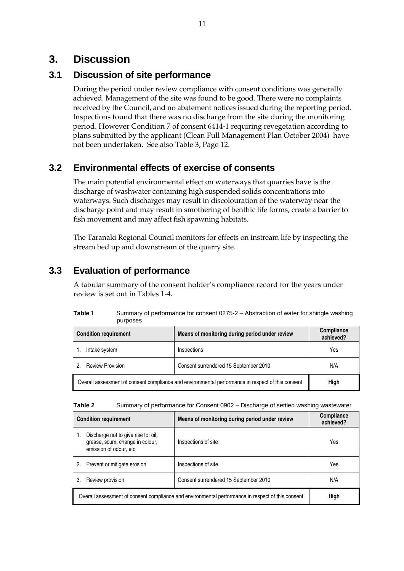# **3. Discussion**

# **3.1 Discussion of site performance**

During the period under review compliance with consent conditions was generally achieved. Management of the site was found to be good. There were no complaints received by the Council, and no abatement notices issued during the reporting period. Inspections found that there was no discharge from the site during the monitoring period. However Condition 7 of consent 6414-1 requiring revegetation according to plans submitted by the applicant (Clean Full Management Plan October 2004) have not been undertaken. See also Table 3, Page 12.

# **3.2 Environmental effects of exercise of consents**

The main potential environmental effect on waterways that quarries have is the discharge of washwater containing high suspended solids concentrations into waterways. Such discharges may result in discolouration of the waterway near the discharge point and may result in smothering of benthic life forms, create a barrier to fish movement and may affect fish spawning habitats.

The Taranaki Regional Council monitors for effects on instream life by inspecting the stream bed up and downstream of the quarry site.

# **3.3 Evaluation of performance**

A tabular summary of the consent holder's compliance record for the years under review is set out in Tables 1-4.

| Table 1 | Summary of performance for consent 0275-2 – Abstraction of water for shingle washing |
|---------|--------------------------------------------------------------------------------------|
|         | purposes                                                                             |

| <b>Condition requirement</b>                                                                      | Means of monitoring during period under review | Compliance<br>achieved? |
|---------------------------------------------------------------------------------------------------|------------------------------------------------|-------------------------|
| Intake system                                                                                     | Inspections                                    | Yes                     |
| <b>Review Provision</b><br>2                                                                      | Consent surrendered 15 September 2010          | N/A                     |
| Overall assessment of consent compliance and environmental performance in respect of this consent | High                                           |                         |

| Table 2 | Summary of performance for Consent 0902 - Discharge of settled washing wastewater |  |
|---------|-----------------------------------------------------------------------------------|--|
|         |                                                                                   |  |

| <b>Condition requirement</b>                                                                      |                                                                                                  | Means of monitoring during period under review | <b>Compliance</b><br>achieved? |
|---------------------------------------------------------------------------------------------------|--------------------------------------------------------------------------------------------------|------------------------------------------------|--------------------------------|
|                                                                                                   | Discharge not to give rise to: oil,<br>grease, scum, change in colour,<br>emission of odour, etc | Inspections of site                            | Yes                            |
| 2.                                                                                                | Prevent or mitigate erosion                                                                      | Inspections of site                            | Yes                            |
| 3.                                                                                                | Review provision                                                                                 | Consent surrendered 15 September 2010          | N/A                            |
| Overall assessment of consent compliance and environmental performance in respect of this consent |                                                                                                  |                                                | High                           |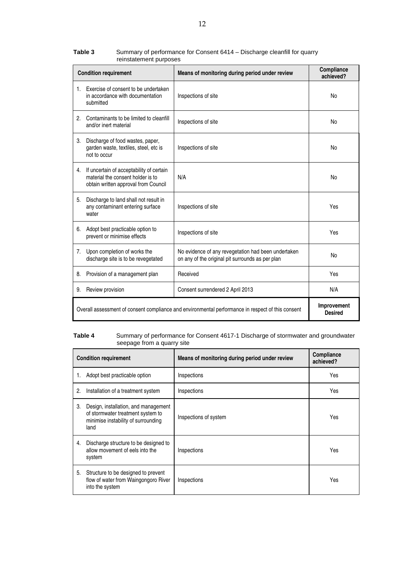|                                                                                                   | <b>Condition requirement</b>                                                                                             | Means of monitoring during period under review                                                          | Compliance<br>achieved?       |
|---------------------------------------------------------------------------------------------------|--------------------------------------------------------------------------------------------------------------------------|---------------------------------------------------------------------------------------------------------|-------------------------------|
| 1.                                                                                                | Exercise of consent to be undertaken<br>in accordance with documentation<br>submitted                                    | Inspections of site                                                                                     | <b>No</b>                     |
| 2.                                                                                                | Contaminants to be limited to cleanfill<br>and/or inert material                                                         | Inspections of site                                                                                     | No                            |
| 3.                                                                                                | Discharge of food wastes, paper,<br>garden waste, textiles, steel, etc is<br>not to occur                                | Inspections of site                                                                                     | No                            |
|                                                                                                   | 4. If uncertain of acceptability of certain<br>material the consent holder is to<br>obtain written approval from Council | N/A                                                                                                     | No                            |
| 5.                                                                                                | Discharge to land shall not result in<br>any contaminant entering surface<br>water                                       | Inspections of site                                                                                     | Yes                           |
| 6.                                                                                                | Adopt best practicable option to<br>prevent or minimise effects                                                          | Inspections of site                                                                                     | Yes                           |
| 7.                                                                                                | Upon completion of works the<br>discharge site is to be revegetated                                                      | No evidence of any revegetation had been undertaken<br>on any of the original pit surrounds as per plan | No                            |
|                                                                                                   | 8. Provision of a management plan                                                                                        | Received                                                                                                | Yes                           |
| 9.                                                                                                | Review provision                                                                                                         | Consent surrendered 2 April 2013                                                                        | N/A                           |
| Overall assessment of consent compliance and environmental performance in respect of this consent |                                                                                                                          |                                                                                                         | Improvement<br><b>Desired</b> |

#### **Table 3** Summary of performance for Consent 6414 – Discharge cleanfill for quarry reinstatement purposes

#### **Table 4** Summary of performance for Consent 4617-1 Discharge of stormwater and groundwater seepage from a quarry site

| <b>Condition requirement</b> |                                                                                                                          | Means of monitoring during period under review | Compliance<br>achieved? |
|------------------------------|--------------------------------------------------------------------------------------------------------------------------|------------------------------------------------|-------------------------|
|                              | Adopt best practicable option                                                                                            | Inspections                                    | Yes                     |
| 2.                           | Installation of a treatment system                                                                                       | Inspections                                    | Yes                     |
| 3.                           | Design, installation, and management<br>of stormwater treatment system to<br>minimise instability of surrounding<br>land | Inspections of system                          | Yes                     |
| 4.                           | Discharge structure to be designed to<br>allow movement of eels into the<br>system                                       | Inspections                                    | Yes                     |
| 5.                           | Structure to be designed to prevent<br>flow of water from Waingongoro River<br>into the system                           | Inspections                                    | Yes                     |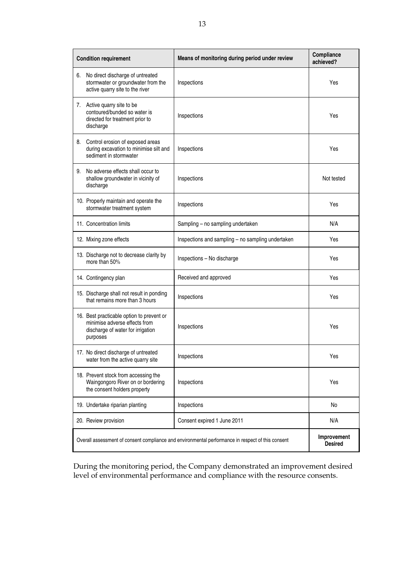| <b>Condition requirement</b> |                                                                                                                 | Means of monitoring during period under review                                                    | Compliance<br>achieved?       |
|------------------------------|-----------------------------------------------------------------------------------------------------------------|---------------------------------------------------------------------------------------------------|-------------------------------|
| 6.                           | No direct discharge of untreated<br>stormwater or groundwater from the<br>active quarry site to the river       | Inspections                                                                                       | Yes                           |
| 7.<br>discharge              | Active quarry site to be<br>contoured/bunded so water is<br>directed for treatment prior to                     | Inspections                                                                                       | Yes                           |
|                              | 8. Control erosion of exposed areas<br>during excavation to minimise silt and<br>sediment in stormwater         | Inspections                                                                                       | Yes                           |
| 9.<br>discharge              | No adverse effects shall occur to<br>shallow groundwater in vicinity of                                         | Inspections                                                                                       | Not tested                    |
|                              | 10. Properly maintain and operate the<br>stormwater treatment system                                            | Inspections                                                                                       | Yes                           |
|                              | 11. Concentration limits                                                                                        | Sampling - no sampling undertaken                                                                 | N/A                           |
|                              | 12. Mixing zone effects                                                                                         | Inspections and sampling - no sampling undertaken                                                 | Yes                           |
|                              | 13. Discharge not to decrease clarity by<br>more than 50%                                                       | Inspections - No discharge                                                                        | Yes                           |
|                              | 14. Contingency plan                                                                                            | Received and approved                                                                             | Yes                           |
|                              | 15. Discharge shall not result in ponding<br>that remains more than 3 hours                                     | Inspections                                                                                       | Yes                           |
| purposes                     | 16. Best practicable option to prevent or<br>minimise adverse effects from<br>discharge of water for irrigation | Inspections                                                                                       | Yes                           |
|                              | 17. No direct discharge of untreated<br>water from the active quarry site                                       | Inspections                                                                                       | Yes                           |
|                              | 18. Prevent stock from accessing the<br>Waingongoro River on or bordering<br>the consent holders property       | Inspections                                                                                       | Yes                           |
|                              | 19. Undertake riparian planting                                                                                 | Inspections                                                                                       | No                            |
|                              | 20. Review provision                                                                                            | Consent expired 1 June 2011                                                                       | N/A                           |
|                              |                                                                                                                 | Overall assessment of consent compliance and environmental performance in respect of this consent | Improvement<br><b>Desired</b> |

During the monitoring period, the Company demonstrated an improvement desired level of environmental performance and compliance with the resource consents.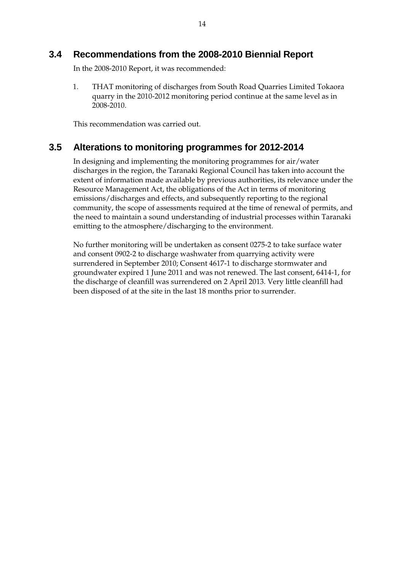# **3.4 Recommendations from the 2008-2010 Biennial Report**

In the 2008-2010 Report, it was recommended:

1. THAT monitoring of discharges from South Road Quarries Limited Tokaora quarry in the 2010-2012 monitoring period continue at the same level as in 2008-2010.

This recommendation was carried out.

# **3.5 Alterations to monitoring programmes for 2012-2014**

In designing and implementing the monitoring programmes for air/water discharges in the region, the Taranaki Regional Council has taken into account the extent of information made available by previous authorities, its relevance under the Resource Management Act, the obligations of the Act in terms of monitoring emissions/discharges and effects, and subsequently reporting to the regional community, the scope of assessments required at the time of renewal of permits, and the need to maintain a sound understanding of industrial processes within Taranaki emitting to the atmosphere/discharging to the environment.

No further monitoring will be undertaken as consent 0275-2 to take surface water and consent 0902-2 to discharge washwater from quarrying activity were surrendered in September 2010; Consent 4617-1 to discharge stormwater and groundwater expired 1 June 2011 and was not renewed. The last consent, 6414-1, for the discharge of cleanfill was surrendered on 2 April 2013. Very little cleanfill had been disposed of at the site in the last 18 months prior to surrender.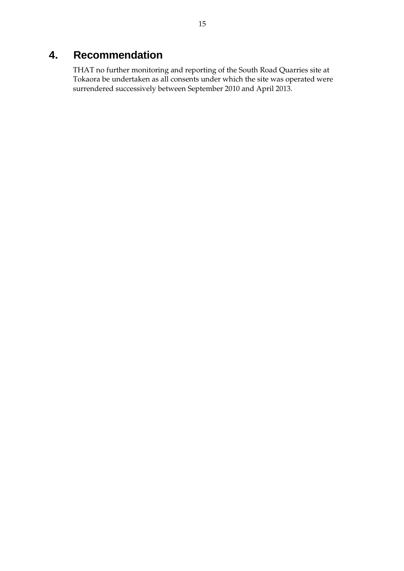# **4. Recommendation**

THAT no further monitoring and reporting of the South Road Quarries site at Tokaora be undertaken as all consents under which the site was operated were surrendered successively between September 2010 and April 2013.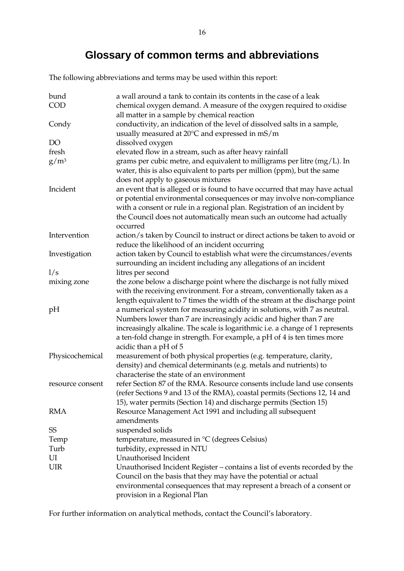# **Glossary of common terms and abbreviations**

The following abbreviations and terms may be used within this report:

| bund<br><b>COD</b> | a wall around a tank to contain its contents in the case of a leak<br>chemical oxygen demand. A measure of the oxygen required to oxidise                                                                                                                                                                                            |
|--------------------|--------------------------------------------------------------------------------------------------------------------------------------------------------------------------------------------------------------------------------------------------------------------------------------------------------------------------------------|
|                    | all matter in a sample by chemical reaction                                                                                                                                                                                                                                                                                          |
| Condy              | conductivity, an indication of the level of dissolved salts in a sample,                                                                                                                                                                                                                                                             |
|                    | usually measured at 20°C and expressed in mS/m                                                                                                                                                                                                                                                                                       |
| DO                 | dissolved oxygen                                                                                                                                                                                                                                                                                                                     |
| fresh              | elevated flow in a stream, such as after heavy rainfall                                                                                                                                                                                                                                                                              |
| $g/m^3$            | grams per cubic metre, and equivalent to milligrams per litre (mg/L). In<br>water, this is also equivalent to parts per million (ppm), but the same<br>does not apply to gaseous mixtures                                                                                                                                            |
| Incident           | an event that is alleged or is found to have occurred that may have actual<br>or potential environmental consequences or may involve non-compliance<br>with a consent or rule in a regional plan. Registration of an incident by<br>the Council does not automatically mean such an outcome had actually<br>occurred                 |
| Intervention       | action/s taken by Council to instruct or direct actions be taken to avoid or<br>reduce the likelihood of an incident occurring                                                                                                                                                                                                       |
| Investigation      | action taken by Council to establish what were the circumstances/events<br>surrounding an incident including any allegations of an incident                                                                                                                                                                                          |
| 1/s                | litres per second                                                                                                                                                                                                                                                                                                                    |
| mixing zone        | the zone below a discharge point where the discharge is not fully mixed<br>with the receiving environment. For a stream, conventionally taken as a<br>length equivalent to 7 times the width of the stream at the discharge point                                                                                                    |
| pH                 | a numerical system for measuring acidity in solutions, with 7 as neutral.<br>Numbers lower than 7 are increasingly acidic and higher than 7 are<br>increasingly alkaline. The scale is logarithmic i.e. a change of 1 represents<br>a ten-fold change in strength. For example, a pH of 4 is ten times more<br>acidic than a pH of 5 |
| Physicochemical    | measurement of both physical properties (e.g. temperature, clarity,<br>density) and chemical determinants (e.g. metals and nutrients) to<br>characterise the state of an environment                                                                                                                                                 |
| resource consent   | refer Section 87 of the RMA. Resource consents include land use consents<br>(refer Sections 9 and 13 of the RMA), coastal permits (Sections 12, 14 and<br>15), water permits (Section 14) and discharge permits (Section 15)                                                                                                         |
| RMA                | Resource Management Act 1991 and including all subsequent<br>amendments                                                                                                                                                                                                                                                              |
| SS                 | suspended solids                                                                                                                                                                                                                                                                                                                     |
| Temp               | temperature, measured in °C (degrees Celsius)                                                                                                                                                                                                                                                                                        |
| Turb               | turbidity, expressed in NTU                                                                                                                                                                                                                                                                                                          |
| UI                 | Unauthorised Incident                                                                                                                                                                                                                                                                                                                |
| UIR                | Unauthorised Incident Register – contains a list of events recorded by the<br>Council on the basis that they may have the potential or actual<br>environmental consequences that may represent a breach of a consent or<br>provision in a Regional Plan                                                                              |

For further information on analytical methods, contact the Council's laboratory.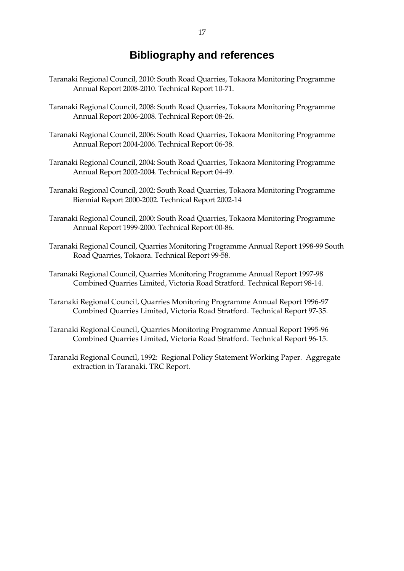# **Bibliography and references**

- Taranaki Regional Council, 2010: South Road Quarries, Tokaora Monitoring Programme Annual Report 2008-2010. Technical Report 10-71.
- Taranaki Regional Council, 2008: South Road Quarries, Tokaora Monitoring Programme Annual Report 2006-2008. Technical Report 08-26.
- Taranaki Regional Council, 2006: South Road Quarries, Tokaora Monitoring Programme Annual Report 2004-2006. Technical Report 06-38.
- Taranaki Regional Council, 2004: South Road Quarries, Tokaora Monitoring Programme Annual Report 2002-2004. Technical Report 04-49.
- Taranaki Regional Council, 2002: South Road Quarries, Tokaora Monitoring Programme Biennial Report 2000-2002. Technical Report 2002-14
- Taranaki Regional Council, 2000: South Road Quarries, Tokaora Monitoring Programme Annual Report 1999-2000. Technical Report 00-86.
- Taranaki Regional Council, Quarries Monitoring Programme Annual Report 1998-99 South Road Quarries, Tokaora. Technical Report 99-58.
- Taranaki Regional Council, Quarries Monitoring Programme Annual Report 1997-98 Combined Quarries Limited, Victoria Road Stratford. Technical Report 98-14.
- Taranaki Regional Council, Quarries Monitoring Programme Annual Report 1996-97 Combined Quarries Limited, Victoria Road Stratford. Technical Report 97-35.
- Taranaki Regional Council, Quarries Monitoring Programme Annual Report 1995-96 Combined Quarries Limited, Victoria Road Stratford. Technical Report 96-15.
- Taranaki Regional Council, 1992: Regional Policy Statement Working Paper. Aggregate extraction in Taranaki. TRC Report.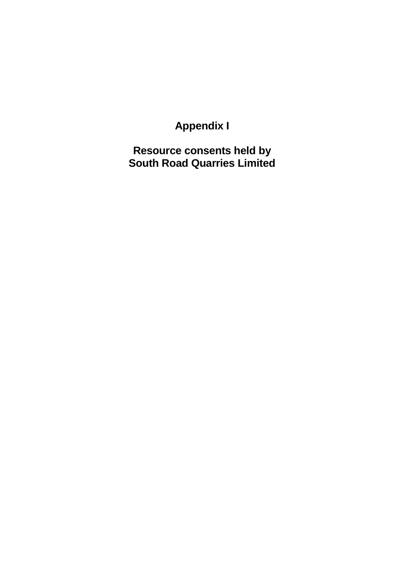# **Appendix I**

**Resource consents held by South Road Quarries Limited**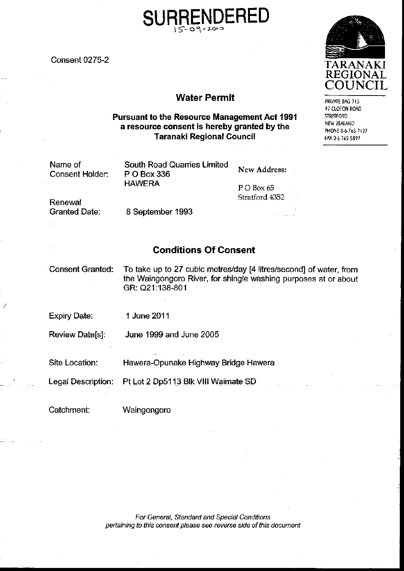**Consent 0275-2** 

# **Water Permit**

### **Pursuant to the Resource Management Act 1991** a resource consent is hereby granted by the **Taranaki Regional Council**

| Name of<br><b>Consent Holder:</b> | South Road Quarries Limited<br>P O Box 336 | <b>New Address:</b>            |  |
|-----------------------------------|--------------------------------------------|--------------------------------|--|
| Renewal                           | <b>HAWERA</b>                              | $P$ O Box 65<br>Stratford 4352 |  |
| <b>Granted Date:</b>              | 8 September 1993                           |                                |  |

# **Conditions Of Consent**

**Consent Granted:** To take up to 27 cubic metres/day [4 litres/second] of water, from the Waingongoro River, for shingle washing purposes at or about GR: Q21:138-801

**Expiry Date:** 1 June 2011

**Review Date[s]:** June 1999 and June 2005

Site Location: Hawera-Opunake Highway Bridge Hawera

Pt Lot 2 Dp5113 Blk VIII Waimate SD **Legal Description:** 

Catchment:

Waingongoro

For General, Standard and Special Conditions pertaining to this consent please see reverse side of this document



PRIVATE BAG 713 47 CLOTON ROAD **STRATFORD** NEW ZEALAND PHONE 0-6-765 7127 FAX 0-6-765 5097

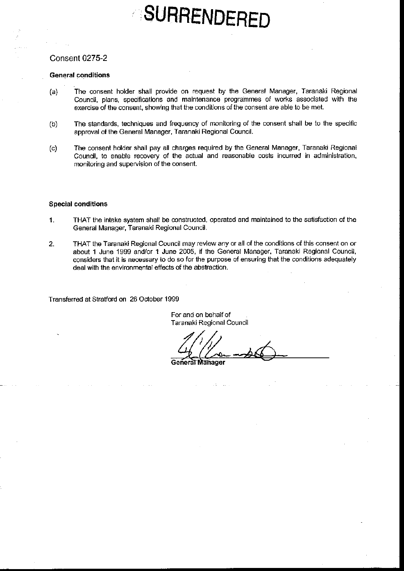# SURRENDERED

### **Consent 0275-2**

#### **General conditions**

- The consent holder shall provide on request by the General Manager, Taranaki Regional  $(a)$ Council, plans, specifications and maintenance programmes of works associated with the exercise of the consent, showing that the conditions of the consent are able to be met.
- The standards, techniques and frequency of monitoring of the consent shall be to the specific  $(b)$ approval of the General Manager, Taranaki Regional Council.
- The consent holder shall pay all charges required by the General Manager, Taranaki Regional  $(c)$ Council, to enable recovery of the actual and reasonable costs incurred in administration, monitoring and supervision of the consent.

### **Special conditions**

- THAT the intake system shall be constructed, operated and maintained to the satisfaction of the  $\mathbf{1}$ . General Manager, Taranaki Regional Council.
- THAT the Taranaki Regional Council may review any or all of the conditions of this consent on or  $2.$ about 1 June 1999 and/or 1 June 2005, if the General Manager, Taranaki Regional Council, considers that it is necessary to do so for the purpose of ensuring that the conditions adequately deal with the environmental effects of the abstraction.

Transferred at Stratford on 26 October 1999

For and on behalf of Taranaki Regional Council

General Manager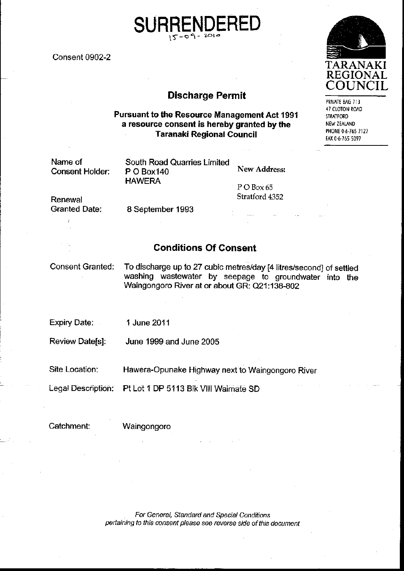**Consent 0902-2** 

# **Discharge Permit**

### **Pursuant to the Resource Management Act 1991** a resource consent is hereby granted by the **Taranaki Regional Council**

| Name of<br>Consent Holder: | South Road Quarries Limited<br>P O Box 140 | New Address:        |  |
|----------------------------|--------------------------------------------|---------------------|--|
|                            | <b>HAWERA</b>                              | $\Gamma$ P O Box 65 |  |
| Renewal                    |                                            | Stratford 4352      |  |
| Granted Date:              | 8 September 1993                           |                     |  |

# **Conditions Of Consent**

**Consent Granted:** 

To discharge up to 27 cubic metres/day [4 litres/second] of settled washing wastewater by seepage to groundwater into the Waingongoro River at or about GR: Q21:138-802

**Expiry Date:** 1 June 2011

**Review Date[s]:** June 1999 and June 2005

Site Location: Hawera-Opunake Highway next to Waingongoro River

Pt Lot 1 DP 5113 Blk VIII Waimate SD Legal Description:

Catchment:

Waingongoro

For General, Standard and Special Conditions pertaining to this consent please see reverse side of this document



PRIVATE BAG 713 47 CLOTON ROAD **STRATFORD** NEW ZEALAND PHONE 0-6-765 7127 FAX 0-6-765 5097

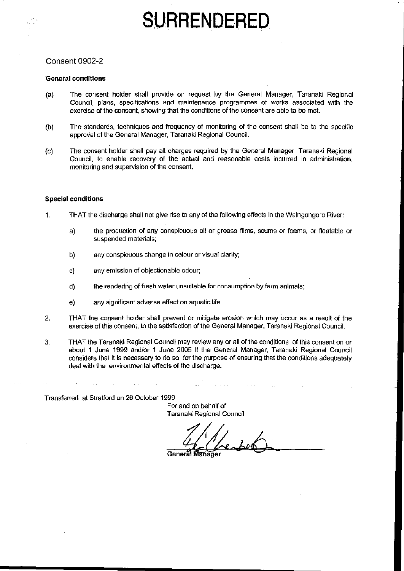# SURRENDERED

### **Consent 0902-2**

#### **General conditions**

- $(a)$ The consent holder shall provide on request by the General Manager, Taranaki Regional Council, plans, specifications and maintenance programmes of works associated with the exercise of the consent, showing that the conditions of the consent are able to be met.
- The standards, techniques and frequency of monitoring of the consent shall be to the specific  $(b)$ approval of the General Manager, Taranaki Regional Council.
- The consent holder shall pay all charges required by the General Manager. Taranaki Regional  $(c)$ Council, to enable recovery of the actual and reasonable costs incurred in administration, monitoring and supervision of the consent.

#### **Special conditions**

- $\mathbf{1}$ . THAT the discharge shall not give rise to any of the following effects in the Waingongoro River:
	- the production of any conspicuous oil or grease films, scums or foams, or floatable or a) suspended materials;
	- b) any conspicuous change in colour or visual clarity;
	- any emission of objectionable odour; c)
	- the rendering of fresh water unsuitable for consumption by farm animals; d)
	- any significant adverse effect on aquatic life. e)
- 2. THAT the consent holder shall prevent or mitigate erosion which may occur as a result of the exercise of this consent, to the satisfaction of the General Manager, Taranaki Regional Council.
- 3. THAT the Taranaki Regional Council may review any or all of the conditions of this consent on or about 1 June 1999 and/or 1 June 2005 if the General Manager, Taranaki Regional Council considers that it is necessary to do so for the purpose of ensuring that the conditions adequately deal with the environmental effects of the discharge.

Transferred at Stratford on 26 October 1999

For and on behalf of Taranaki Regional Council

General Manager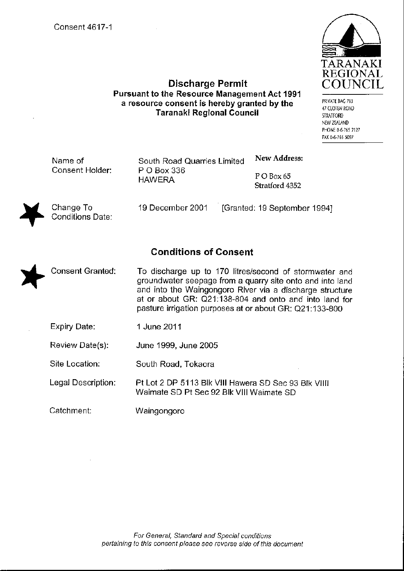Conditions Date:



**Discharge Permit Pursuant to the Resource Management Act 1991** a resource consent is hereby granted by the **Taranaki Regional Council** 

PRIVATE BAG 713 47 CLOTEN ROAD **STRATFORD** NEW ZEALAND PHONE 0-6-765 7127 FAX 0-6-765 5097

| Name of         | South Road Quarries Limited  | New Address:                 |
|-----------------|------------------------------|------------------------------|
| Consent Holder: | P O Box 336<br><b>HAWERA</b> | POBox 65<br>Stratford 4352   |
| Change To       | 19 December 2001             | [Granted: 19 September 1994] |

# **Conditions of Consent**

- To discharge up to 170 litres/second of stormwater and **Consent Granted:** groundwater seepage from a quarry site onto and into land and into the Waingongoro River via a discharge structure at or about GR: Q21:138-804 and onto and into land for pasture irrigation purposes at or about GR: Q21:133-800
	- **Expiry Date:** 1 June 2011
	- Review Date(s): June 1999, June 2005
	- Site Location: South Road, Tokaora
	- Legal Description: Pt Lot 2 DP 5113 Blk VIII Hawera SD Sec 93 Blk VIIII Waimate SD Pt Sec 92 Blk VIII Waimate SD
	- Catchment: Waingongoro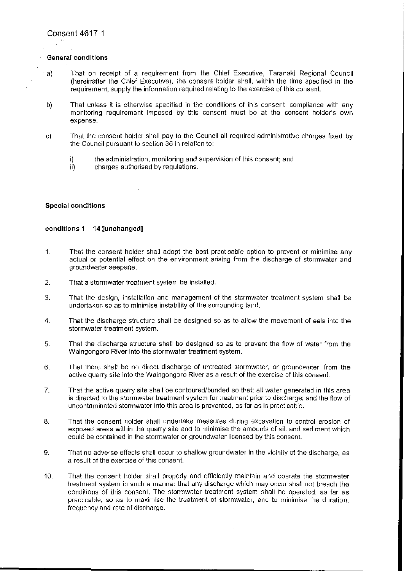#### **General conditions**

- That on receipt of a requirement from the Chief Executive, Taranaki Regional Council a) (hereinafter the Chief Executive), the consent holder shall, within the time specified in the requirement, supply the information required relating to the exercise of this consent.
- That unless it is otherwise specified in the conditions of this consent, compliance with any b) monitoring requirement imposed by this consent must be at the consent holder's own expense.
- That the consent holder shall pay to the Council all required administrative charges fixed by c) the Council pursuant to section 36 in relation to:
	- the administration, monitoring and supervision of this consent; and i)
	- ii) charges authorised by regulations.

#### **Special conditions**

#### conditions  $1 - 14$  [unchanged]

- $1<sub>1</sub>$ That the consent holder shall adopt the best practicable option to prevent or minimise any actual or potential effect on the environment arising from the discharge of stormwater and groundwater seepage.
- That a stormwater treatment system be installed.  $\overline{2}$ .
- That the design, installation and management of the stormwater treatment system shall be 3. undertaken so as to minimise instability of the surrounding land.
- That the discharge structure shall be designed so as to allow the movement of eels into the  $\overline{4}$ . stormwater treatment system.
- 5. That the discharge structure shall be designed so as to prevent the flow of water from the Waingongoro River into the stormwater treatment system.
- That there shall be no direct discharge of untreated stormwater, or groundwater, from the 6. active quarry site into the Waingongoro River as a result of the exercise of this consent.
- That the active quarry site shall be contoured/bunded so that: all water generated in this area 7. is directed to the stormwater treatment system for treatment prior to discharge; and the flow of uncontaminated stormwater into this area is prevented, as far as is practicable.
- 8. That the consent holder shall undertake measures during excavation to control erosion of exposed areas within the quarry site and to minimise the amounts of silt and sediment which could be contained in the stormwater or groundwater licensed by this consent.
- 9. That no adverse effects shall occur to shallow groundwater in the vicinity of the discharge, as a result of the exercise of this consent.
- $10.$ That the consent holder shall properly and efficiently maintain and operate the stormwater treatment system in such a manner that any discharge which may occur shall not breach the conditions of this consent. The stormwater treatment system shall be operated, as far as practicable, so as to maximise the treatment of stormwater, and to minimise the duration. frequency and rate of discharge.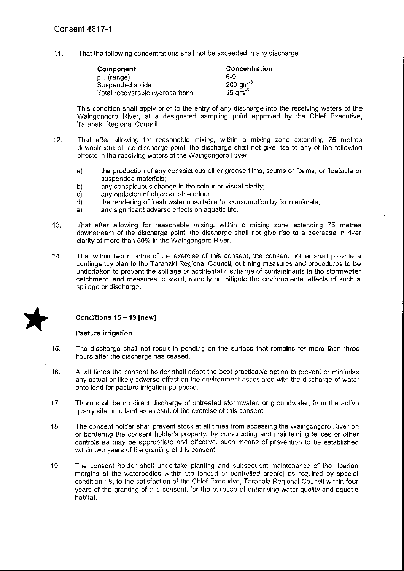$11.$ That the following concentrations shall not be exceeded in any discharge

| Component                      | Concentration      |
|--------------------------------|--------------------|
| pH (range)                     | 6-9                |
| Suspended solids               | $200 \text{ gm}^3$ |
| Total recoverable hydrocarbons | 15 $\text{gm}^3$   |

This condition shall apply prior to the entry of any discharge into the receiving waters of the Waingongoro River, at a designated sampling point approved by the Chief Executive. Taranaki Regional Council.

- That after allowing for reasonable mixing, within a mixing zone extending 75 metres  $12.$ downstream of the discharge point, the discharge shall not give rise to any of the following effects in the receiving waters of the Waingongoro River:
	- the production of any conspicuous oil or grease films, scums or foams, or floatable or  $a)$ suspended materials;
	- b) any conspicuous change in the colour or visual clarity;
	- any emission of objectionable odour;  $\mathbf{C}$
	- the rendering of fresh water unsuitable for consumption by farm animals; d)
	- any significant adverse effects on aquatic life.  $e)$
- $13.$ That after allowing for reasonable mixing, within a mixing zone extending 75 metres downstream of the discharge point, the discharge shall not give rise to a decrease in river clarity of more than 50% in the Waingongoro River.
- That within two months of the exercise of this consent, the consent holder shall provide a 14. contingency plan to the Taranaki Regional Council, outlining measures and procedures to be undertaken to prevent the spillage or accidental discharge of contaminants in the stormwater catchment, and measures to avoid, remedy or mitigate the environmental effects of such a spillage or discharge.



### Conditions 15 - 19 [new]

### Pasture irrigation

- The discharge shall not result in ponding on the surface that remains for more than three 15. hours after the discharge has ceased.
- 16. At all times the consent holder shall adopt the best practicable option to prevent or minimise any actual or likely adverse effect on the environment associated with the discharge of water onto land for pasture irrigation purposes.
- 17. There shall be no direct discharge of untreated stormwater, or groundwater, from the active quarry site onto land as a result of the exercise of this consent.
- $18.$ The consent holder shall prevent stock at all times from accessing the Waingongoro River on or bordering the consent holder's property, by constructing and maintaining fences or other controls as may be appropriate and effective, such means of prevention to be established within two years of the granting of this consent.
- 19. The consent holder shall undertake planting and subsequent maintenance of the riparian margins of the waterbodies within the fenced or controlled area(s) as required by special condition 18, to the satisfaction of the Chief Executive, Taranaki Regional Council within four years of the granting of this consent, for the purpose of enhancing water quality and aquatic habitat.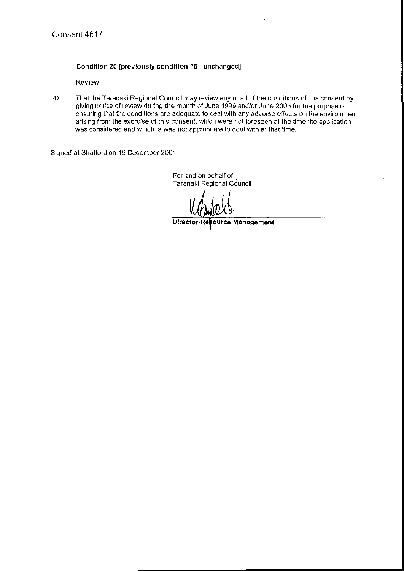### Condition 20 [previously condition 15 - unchanged]

### Review

 $\bar{z}$ 

20. That the Taranaki Regional Council may review any or all of the conditions of this consent by giving notice of review during the month of June 1999 and/or June 2005 for the purpose of ensuring that the conditions are adequate to deal with any adverse effects on the environment arising from the exercise of this consent, which were not foreseen at the time the application was considered and which is was not appropriate to deal with at that time.

Signed at Stratford on 19 December 2001

For and on behalf of -Taranaki Regional Council

Director-Re ource Management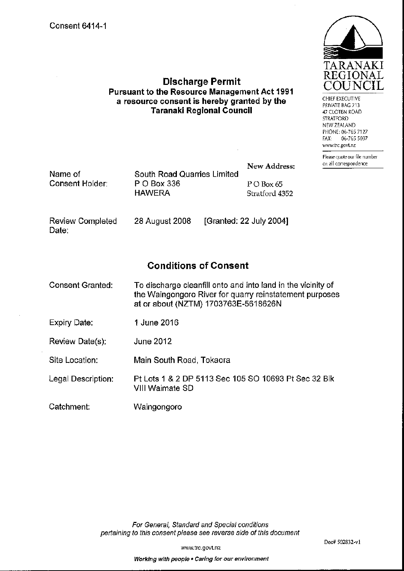**Review Completed** 

Date:



CHIEF EXECUTIVE PRIVATE BAG 713 47 CLOTEN ROAD **STRATFORD** NEW ZEALAND PHONE: 06-765 7127 06-765 5097 FAX: www.trc.govt.nz

Please quote our file number on all correspondence

|                 |                             | New Address:   |
|-----------------|-----------------------------|----------------|
| Name of         | South Road Quarries Limited |                |
| Consent Holder: | P O Box 336                 | $PO$ Box 65    |
|                 | <b>HAWERA</b>               | Stratford 4352 |
|                 |                             |                |

28 August 2008

# **Conditions of Consent**

[Granted: 22 July 2004]

**Discharge Permit** 

Pursuant to the Resource Management Act 1991

a resource consent is hereby granted by the

**Taranaki Regional Council** 

- **Consent Granted:** To discharge cleanfill onto and into land in the vicinity of the Waingongoro River for quarry reinstatement purposes at or about (NZTM) 1703763E-5618626N
- **Expiry Date:** 1 June 2016
- **June 2012** Review Date(s):

Site Location: Main South Road, Tokaora

- Pt Lots 1 & 2 DP 5113 Sec 105 SO 10693 Pt Sec 32 Blk Legal Description: VIII Waimate SD
- Catchment: Waingongoro

For General, Standard and Special conditions pertaining to this consent please see reverse side of this document

www.trc.govt.nz

Working with people . Caring for our environment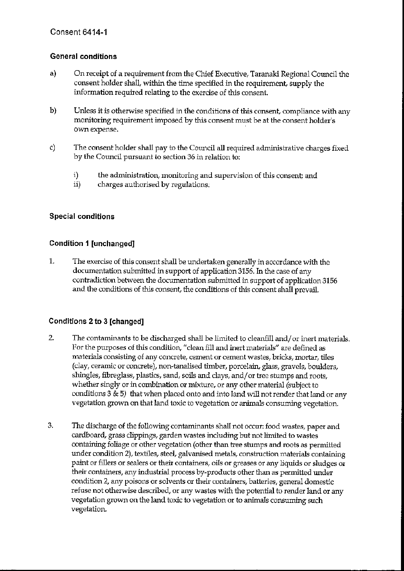# **General conditions**

- a) On receipt of a requirement from the Chief Executive, Taranaki Regional Council the consent holder shall, within the time specified in the requirement, supply the information required relating to the exercise of this consent.
- $b)$ Unless it is otherwise specified in the conditions of this consent, compliance with any monitoring requirement imposed by this consent must be at the consent holder's own expense,
- $c)$ The consent holder shall pay to the Council all required administrative charges fixed by the Council pursuant to section 36 in relation to:
	- $i)$ the administration, monitoring and supervision of this consent; and
	- $ii)$ charges authorised by regulations.

# **Special conditions**

# **Condition 1 [unchanged]**

 $1.$ The exercise of this consent shall be undertaken generally in accordance with the documentation submitted in support of application 3156. In the case of any contradiction between the documentation submitted in support of application 3156 and the conditions of this consent, the conditions of this consent shall prevail.

# Conditions 2 to 3 [changed]

- 2. The contaminants to be discharged shall be limited to cleanfill and/or inert materials. For the purposes of this condition, "clean fill and inert materials" are defined as materials consisting of any concrete, cement or cement wastes, bricks, mortar, tiles (clay, ceramic or concrete), non-tanalised timber, porcelain, glass, gravels, boulders, shingles, fibreglass, plastics, sand, soils and clays, and/or tree stumps and roots, whether singly or in combination or mixture, or any other material (subject to conditions 3 & 5) that when placed onto and into land will not render that land or any vegetation grown on that land toxic to vegetation or animals consuming vegetation.
- 3. The discharge of the following contaminants shall not occur: food wastes, paper and cardboard, grass clippings, garden wastes including but not limited to wastes containing foliage or other vegetation (other than tree stumps and roots as permitted under condition 2), textiles, steel, galvanised metals, construction materials containing paint or fillers or sealers or their containers, oils or greases or any liquids or sludges or their containers, any industrial process by-products other than as permitted under condition 2, any poisons or solvents or their containers, batteries, general domestic refuse not otherwise described, or any wastes with the potential to render land or any vegetation grown on the land toxic to vegetation or to animals consuming such vegetation.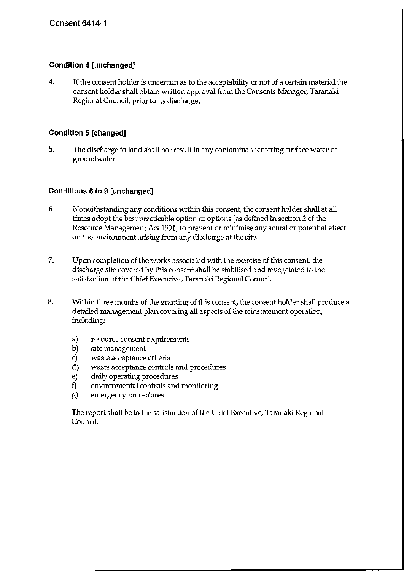## **Condition 4 [unchanged]**

 $4.$ If the consent holder is uncertain as to the acceptability or not of a certain material the consent holder shall obtain written approval from the Consents Manager, Taranaki Regional Council, prior to its discharge.

### **Condition 5 [changed]**

5. The discharge to land shall not result in any contaminant entering surface water or groundwater.

### Conditions 6 to 9 [unchanged]

- 6. Notwithstanding any conditions within this consent, the consent holder shall at all times adopt the best practicable option or options [as defined in section 2 of the Resource Management Act 1991] to prevent or minimise any actual or potential effect on the environment arising from any discharge at the site.
- 7. Upon completion of the works associated with the exercise of this consent, the discharge site covered by this consent shall be stabilised and revegetated to the satisfaction of the Chief Executive, Taranaki Regional Council.
- 8. Within three months of the granting of this consent, the consent holder shall produce a detailed management plan covering all aspects of the reinstatement operation, including:
	- a) resource consent requirements
	- $b)$ site management
	- c) waste acceptance criteria
	- waste acceptance controls and procedures  $\mathbf{d}$
	- $e)$ daily operating procedures
	- $f$ environmental controls and monitoring
	- g) emergency procedures

The report shall be to the satisfaction of the Chief Executive, Taranaki Regional Council.